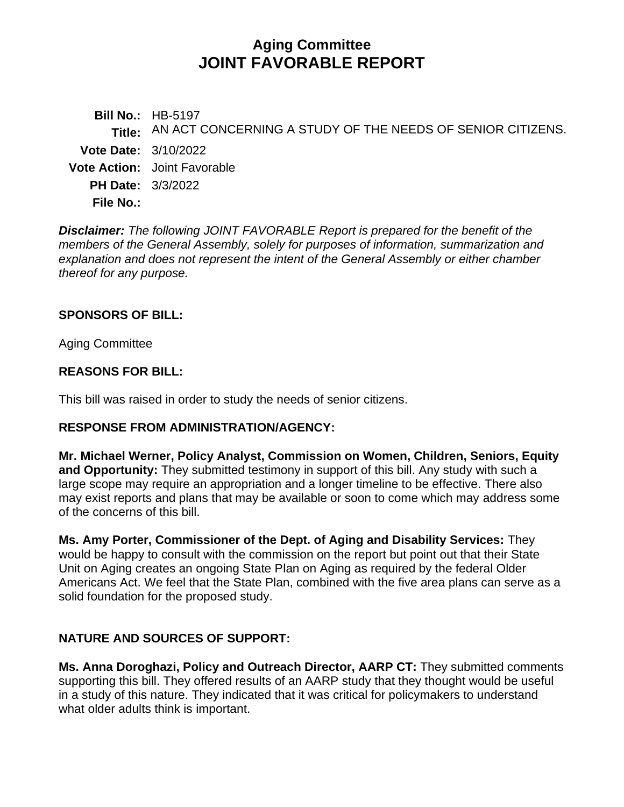# **Aging Committee JOINT FAVORABLE REPORT**

**Bill No.:** HB-5197 **Title:** AN ACT CONCERNING A STUDY OF THE NEEDS OF SENIOR CITIZENS. **Vote Date:** 3/10/2022 **Vote Action:** Joint Favorable **PH Date:** 3/3/2022 **File No.:**

*Disclaimer: The following JOINT FAVORABLE Report is prepared for the benefit of the members of the General Assembly, solely for purposes of information, summarization and explanation and does not represent the intent of the General Assembly or either chamber thereof for any purpose.*

#### **SPONSORS OF BILL:**

Aging Committee

### **REASONS FOR BILL:**

This bill was raised in order to study the needs of senior citizens.

#### **RESPONSE FROM ADMINISTRATION/AGENCY:**

**Mr. Michael Werner, Policy Analyst, Commission on Women, Children, Seniors, Equity and Opportunity:** They submitted testimony in support of this bill. Any study with such a large scope may require an appropriation and a longer timeline to be effective. There also may exist reports and plans that may be available or soon to come which may address some of the concerns of this bill.

**Ms. Amy Porter, Commissioner of the Dept. of Aging and Disability Services:** They would be happy to consult with the commission on the report but point out that their State Unit on Aging creates an ongoing State Plan on Aging as required by the federal Older Americans Act. We feel that the State Plan, combined with the five area plans can serve as a solid foundation for the proposed study.

## **NATURE AND SOURCES OF SUPPORT:**

**Ms. Anna Doroghazi, Policy and Outreach Director, AARP CT:** They submitted comments supporting this bill. They offered results of an AARP study that they thought would be useful in a study of this nature. They indicated that it was critical for policymakers to understand what older adults think is important.